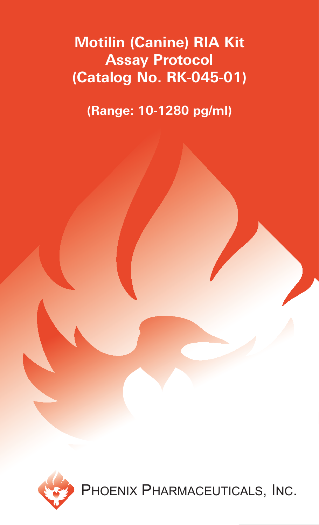# **Motilin (Canine) RIA Kit Assay Protocol (Catalog No. RK-045-01)**

**(Range: 10-1280 pg/ml)**

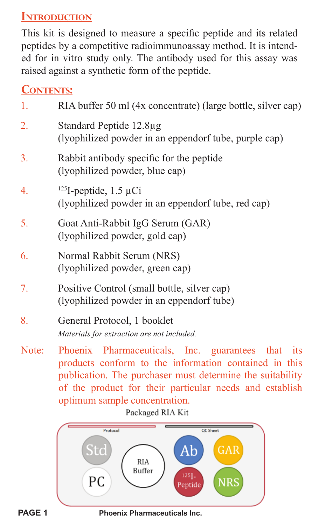# **INTRODUCTION**

This kit is designed to measure a specific peptide and its related peptides by a competitive radioimmunoassay method. It is intended for in vitro study only. The antibody used for this assay was raised against a synthetic form of the peptide.

# **CONTENTS:**

| 1.    | RIA buffer 50 ml (4x concentrate) (large bottle, silver cap)                                                                                                                                                                                                           |  |  |  |
|-------|------------------------------------------------------------------------------------------------------------------------------------------------------------------------------------------------------------------------------------------------------------------------|--|--|--|
| 2.    | Standard Peptide 12.8µg<br>(lyophilized powder in an eppendorf tube, purple cap)                                                                                                                                                                                       |  |  |  |
| 3.    | Rabbit antibody specific for the peptide<br>(lyophilized powder, blue cap)                                                                                                                                                                                             |  |  |  |
| 4.    | $125$ I-peptide, 1.5 µCi<br>(lyophilized powder in an eppendorf tube, red cap)                                                                                                                                                                                         |  |  |  |
| 5.    | Goat Anti-Rabbit IgG Serum (GAR)<br>(lyophilized powder, gold cap)                                                                                                                                                                                                     |  |  |  |
| 6.    | Normal Rabbit Serum (NRS)<br>(lyophilized powder, green cap)                                                                                                                                                                                                           |  |  |  |
| 7.    | Positive Control (small bottle, silver cap)<br>(lyophilized powder in an eppendorf tube)                                                                                                                                                                               |  |  |  |
| 8.    | General Protocol, 1 booklet<br>Materials for extraction are not included.                                                                                                                                                                                              |  |  |  |
| Note: | Phoenix Pharmaceuticals, Inc. guarantees that<br>its<br>products conform to the information contained in this<br>publication. The purchaser must determine the suitability<br>of the product for their particular needs and establish<br>optimum sample concentration. |  |  |  |

Packaged RIA Kit



**Phoenix Pharmaceuticals Inc.**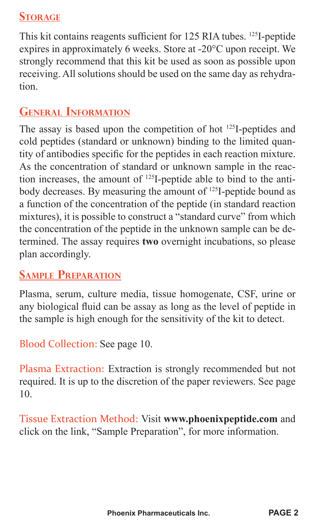# **STORAGE**

This kit contains reagents sufficient for 125 RIA tubes. <sup>125</sup>I-peptide expires in approximately 6 weeks. Store at -20°C upon receipt. We strongly recommend that this kit be used as soon as possible upon receiving. All solutions should be used on the same day as rehydration.

# **GENERAL INFORMATION**

The assay is based upon the competition of hot 125I-peptides and cold peptides (standard or unknown) binding to the limited quantity of antibodies specific for the peptides in each reaction mixture. As the concentration of standard or unknown sample in the reaction increases, the amount of 125I-peptide able to bind to the antibody decreases. By measuring the amount of <sup>125</sup>I-peptide bound as a function of the concentration of the peptide (in standard reaction mixtures), it is possible to construct a "standard curve" from which the concentration of the peptide in the unknown sample can be determined. The assay requires **two** overnight incubations, so please plan accordingly.

# **SAMPLE PREPARATION**

Plasma, serum, culture media, tissue homogenate, CSF, urine or any biological fluid can be assay as long as the level of peptide in the sample is high enough for the sensitivity of the kit to detect.

Blood Collection: See page 10.

Plasma Extraction: Extraction is strongly recommended but not required. It is up to the discretion of the paper reviewers. See page 10.

Tissue Extraction Method: Visit **www.phoenixpeptide.com** and click on the link, "Sample Preparation", for more information.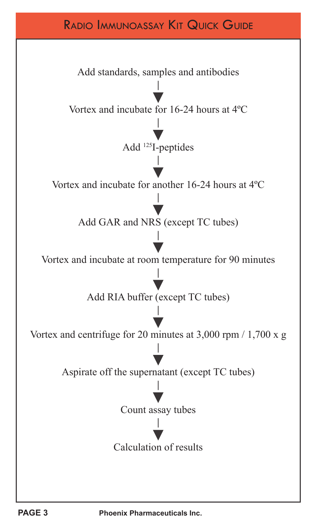# RADIO IMMUNOASSAY KIT QUICK GUIDE

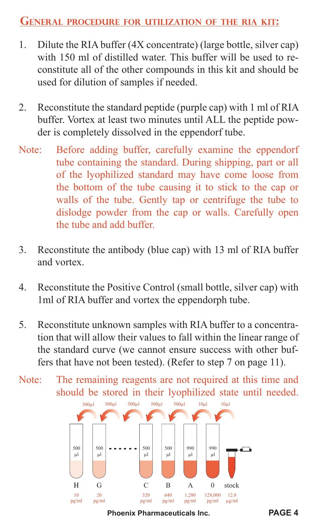#### **GENERAL PROCEDURE FOR UTILIZATION OF THE RIA KIT:**

- 1. Dilute the RIA buffer (4X concentrate) (large bottle, silver cap) with 150 ml of distilled water. This buffer will be used to reconstitute all of the other compounds in this kit and should be used for dilution of samples if needed.
- 2. Reconstitute the standard peptide (purple cap) with 1 ml of RIA buffer. Vortex at least two minutes until ALL the peptide powder is completely dissolved in the eppendorf tube.
- Note: Before adding buffer, carefully examine the eppendorf tube containing the standard. During shipping, part or all of the lyophilized standard may have come loose from the bottom of the tube causing it to stick to the cap or walls of the tube. Gently tap or centrifuge the tube to dislodge powder from the cap or walls. Carefully open the tube and add buffer.
- 3. Reconstitute the antibody (blue cap) with 13 ml of RIA buffer and vortex.
- 4. Reconstitute the Positive Control (small bottle, silver cap) with 1ml of RIA buffer and vortex the eppendorph tube.
- 5. Reconstitute unknown samples with RIA buffer to a concentration that will allow their values to fall within the linear range of the standard curve (we cannot ensure success with other buffers that have not been tested). (Refer to step 7 on page 11).
- Note: The remaining reagents are not required at this time and should be stored in their lyophilized state until needed.



**Phoenix Pharmaceuticals Inc. PAGE 4**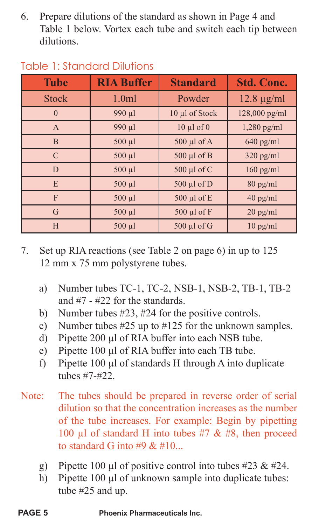6. Prepare dilutions of the standard as shown in Page 4 and Table 1 below. Vortex each tube and switch each tip between dilutions.

| <b>Tube</b>   | <b>RIA Buffer</b> | <b>Standard</b>   | <b>Std. Conc.</b> |
|---------------|-------------------|-------------------|-------------------|
| <b>Stock</b>  | 1.0 <sub>m</sub>  | Powder            | $12.8 \mu g/ml$   |
| $\Omega$      | 990 µl            | 10 µl of Stock    | $128,000$ pg/ml   |
| $\mathsf{A}$  | 990 µl            | $10 \mu l$ of $0$ | $1,280$ pg/ml     |
| <sub>B</sub>  | $500 \mu l$       | $500 \mu l$ of A  | $640$ pg/ml       |
| $\mathcal{C}$ | $500 \mu l$       | 500 µl of B       | $320$ pg/ml       |
| D             | $500$ $\mu$ l     | 500 µl of C       | $160$ pg/ml       |
| E             | $500 \mu l$       | 500 µl of D       | $80$ pg/ml        |
| F             | $500 \mu l$       | 500 μl of E       | $40$ pg/ml        |
| G             | $500 \mu l$       | 500 µl of F       | $20$ pg/ml        |
| H             | 500 µl            | 500 µl of G       | $10$ pg/ml        |

### Table 1: Standard Dilutions

- 7. Set up RIA reactions (see Table 2 on page 6) in up to 125 12 mm x 75 mm polystyrene tubes.
	- a) Number tubes TC-1, TC-2, NSB-1, NSB-2, TB-1, TB-2 and #7 - #22 for the standards.
	- b) Number tubes #23, #24 for the positive controls.
	- c) Number tubes #25 up to #125 for the unknown samples.
	- d) Pipette 200 μl of RIA buffer into each NSB tube.
	- e) Pipette 100 μl of RIA buffer into each TB tube.
	- f) Pipette 100 μl of standards H through A into duplicate tubes #7-#22.
- Note: The tubes should be prepared in reverse order of serial dilution so that the concentration increases as the number of the tube increases. For example: Begin by pipetting 100 μl of standard H into tubes  $#7 & 48$ , then proceed to standard G into  $#9 \& #10$ .
	- g) Pipette 100 μl of positive control into tubes  $\#23 \& \#24$ .
	- h) Pipette 100 μl of unknown sample into duplicate tubes: tube #25 and up.

**PAGE 5 Phoenix Pharmaceuticals Inc.**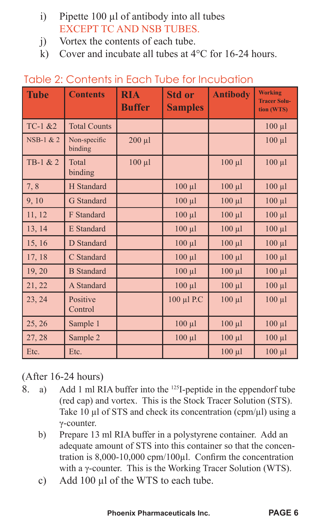- i) Pipette 100 μl of antibody into all tubes EXCEPT TC AND NSB TUBES.
- j) Vortex the contents of each tube.
- k) Cover and incubate all tubes at 4°C for 16-24 hours.

| <b>Tube</b> | <b>Contents</b>         | <b>RIA</b><br><b>Buffer</b> | <b>Std or</b><br><b>Samples</b> | <b>Antibody</b> | <b>Working</b><br><b>Tracer Solu-</b><br>tion (WTS) |
|-------------|-------------------------|-----------------------------|---------------------------------|-----------------|-----------------------------------------------------|
| $TC-1 & 2$  | <b>Total Counts</b>     |                             |                                 |                 | $100 \mu l$                                         |
| NSB-1 & 2   | Non-specific<br>binding | $200 \mu l$                 |                                 |                 | $100 \mu l$                                         |
| TB-1 & 2    | Total<br>binding        | $100 \mu l$                 |                                 | $100 \mu l$     | $100 \mu l$                                         |
| 7,8         | H Standard              |                             | $100 \mu l$                     | $100 \mu l$     | $100 \mu l$                                         |
| 9, 10       | G Standard              |                             | $100 \mu l$                     | $100 \mu l$     | $100 \mu l$                                         |
| 11, 12      | F Standard              |                             | $100 \mu l$                     | $100 \mu l$     | $100 \mu l$                                         |
| 13, 14      | E Standard              |                             | $100 \mu l$                     | $100 \mu l$     | $100 \mu l$                                         |
| 15, 16      | D Standard              |                             | $100 \mu l$                     | $100 \mu l$     | $100 \mu l$                                         |
| 17, 18      | C Standard              |                             | $100 \mu l$                     | $100 \mu l$     | $100 \mu l$                                         |
| 19, 20      | <b>B</b> Standard       |                             | $100 \mu l$                     | $100 \mu l$     | $100 \mu l$                                         |
| 21, 22      | A Standard              |                             | $100 \mu l$                     | $100 \mu l$     | $100 \mu l$                                         |
| 23, 24      | Positive<br>Control     |                             | 100 µl P.C                      | $100 \mu l$     | $100 \mu l$                                         |
| 25, 26      | Sample 1                |                             | $100 \mu l$                     | $100 \mu l$     | $100 \mu l$                                         |
| 27, 28      | Sample 2                |                             | $100 \mu l$                     | $100 \mu l$     | $100 \mu l$                                         |
| Etc.        | Etc.                    |                             |                                 | $100 \mu l$     | $100 \mu l$                                         |

#### Table 2: Contents in Each Tube for Incubation

#### (After 16-24 hours)

- 8. a) Add 1 ml RIA buffer into the 125I-peptide in the eppendorf tube (red cap) and vortex. This is the Stock Tracer Solution (STS). Take 10 μl of STS and check its concentration (cpm/μl) using a γ-counter.
	- b) Prepare 13 ml RIA buffer in a polystyrene container. Add an adequate amount of STS into this container so that the concen tration is  $8,000-10,000$  cpm/100 $\mu$ l. Confirm the concentration with a γ-counter. This is the Working Tracer Solution (WTS).
	- c) Add 100 μl of the WTS to each tube.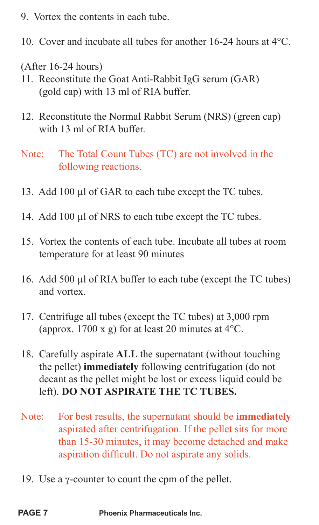- 9. Vortex the contents in each tube.
- 10. Cover and incubate all tubes for another 16-24 hours at 4°C.

(After 16-24 hours)

- 11. Reconstitute the Goat Anti-Rabbit IgG serum (GAR) (gold cap) with 13 ml of RIA buffer.
- 12. Reconstitute the Normal Rabbit Serum (NRS) (green cap) with 13 ml of RIA buffer.
- Note: The Total Count Tubes (TC) are not involved in the following reactions.
- 13. Add 100 μl of GAR to each tube except the TC tubes.
- 14. Add 100 μl of NRS to each tube except the TC tubes.
- 15. Vortex the contents of each tube. Incubate all tubes at room temperature for at least 90 minutes
- 16. Add 500 μl of RIA buffer to each tube (except the TC tubes) and vortex.
- 17. Centrifuge all tubes (except the TC tubes) at 3,000 rpm (approx. 1700 x g) for at least 20 minutes at  $4^{\circ}$ C.
- 18. Carefully aspirate **ALL** the supernatant (without touching the pellet) **immediately** following centrifugation (do not decant as the pellet might be lost or excess liquid could be left). **DO NOT ASPIRATE THE TC TUBES.**
- Note: For best results, the supernatant should be **immediately** aspirated after centrifugation. If the pellet sits for more than 15-30 minutes, it may become detached and make aspiration difficult. Do not aspirate any solids.
- 19. Use a γ-counter to count the cpm of the pellet.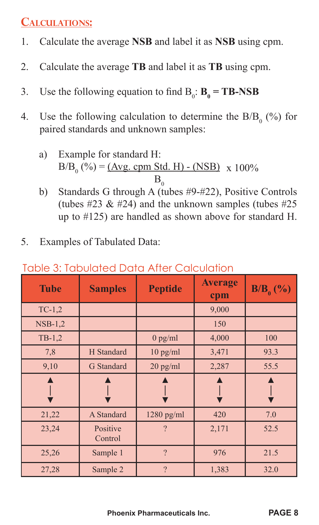# **CALCULATIONS:**

- 1. Calculate the average **NSB** and label it as **NSB** using cpm.
- 2. Calculate the average **TB** and label it as **TB** using cpm.
- 3. Use the following equation to find  $B_0$ :  $B_0 = TB$ -NSB
- 4. Use the following calculation to determine the  $B/B_0$  (%) for paired standards and unknown samples:
- a) Example for standard H:  $B/B_0$  (%) = <u>(Avg. cpm Std. H) - (NSB)</u> x 100%  $\mathbf{B}_0$ 
	- b) Standards G through A (tubes #9-#22), Positive Controls (tubes  $\#23 \& \#24$ ) and the unknown samples (tubes  $\#25$ up to #125) are handled as shown above for standard H.
- 5. Examples of Tabulated Data:

| <b>Tube</b> | <b>Samples</b>      | <b>Peptide</b> | <b>Average</b><br>cpm | $B/B0(\%)$ |
|-------------|---------------------|----------------|-----------------------|------------|
| $TC-1,2$    |                     |                | 9,000                 |            |
| $NSB-1,2$   |                     |                | 150                   |            |
| $TB-1,2$    |                     | $0$ pg/ml      | 4,000                 | 100        |
| 7,8         | H Standard          | $10$ pg/ml     | 3,471                 | 93.3       |
| 9,10        | G Standard          | $20$ pg/ml     | 2,287                 | 55.5       |
|             |                     |                |                       |            |
| 21,22       | A Standard          | $1280$ pg/ml   | 420                   | 7.0        |
| 23,24       | Positive<br>Control | 9              | 2,171                 | 52.5       |
| 25,26       | Sample 1            | $\mathcal{P}$  | 976                   | 21.5       |
| 27,28       | Sample 2            | $\mathcal{P}$  | 1,383                 | 32.0       |

#### Table 3: Tabulated Data After Calculation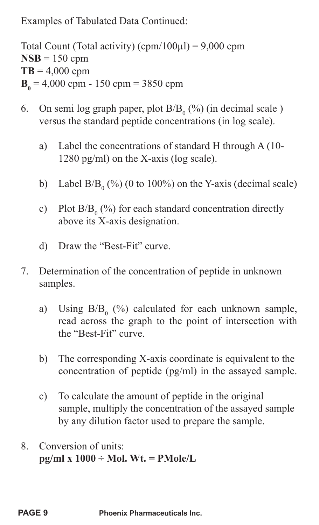Examples of Tabulated Data Continued:

Total Count (Total activity) (cpm/100 $\mu$ l) = 9,000 cpm  $NSB = 150$  cpm  $TB = 4,000$  cpm  $B_0 = 4,000$  cpm - 150 cpm = 3850 cpm

- 6. On semi log graph paper, plot  $B/B_0$  (%) (in decimal scale) versus the standard peptide concentrations (in log scale).
	- a) Label the concentrations of standard H through A (10- 1280 pg/ml) on the X-axis (log scale).
- b) Label B/B<sub>0</sub> (%) (0 to 100%) on the Y-axis (decimal scale)
- c) Plot  $B/B_0$  (%) for each standard concentration directly above its X-axis designation.
	- d) Draw the "Best-Fit" curve.
- 7. Determination of the concentration of peptide in unknown samples.
- a) Using  $B/B_0$  (%) calculated for each unknown sample, read across the graph to the point of intersection with the "Best-Fit" curve.
	- b) The corresponding X-axis coordinate is equivalent to the concentration of peptide (pg/ml) in the assayed sample.
	- c) To calculate the amount of peptide in the original sample, multiply the concentration of the assayed sample by any dilution factor used to prepare the sample.
- 8. Conversion of units: **pg/ml x 1000 ÷ Mol. Wt. = PMole/L**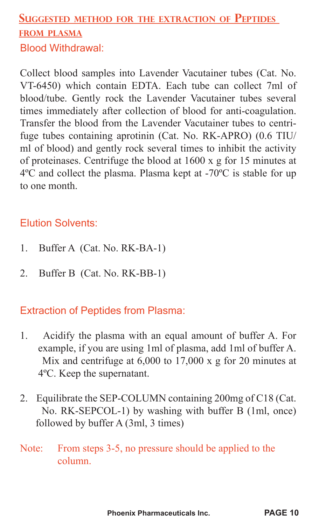# **SUGGESTED METHOD FOR THE EXTRACTION OF PEPTIDES FROM PLASMA** Blood Withdrawal:

Collect blood samples into Lavender Vacutainer tubes (Cat. No. VT-6450) which contain EDTA. Each tube can collect 7ml of blood/tube. Gently rock the Lavender Vacutainer tubes several times immediately after collection of blood for anti-coagulation. Transfer the blood from the Lavender Vacutainer tubes to centrifuge tubes containing aprotinin (Cat. No. RK-APRO) (0.6 TIU/ ml of blood) and gently rock several times to inhibit the activity of proteinases. Centrifuge the blood at 1600 x g for 15 minutes at 4ºC and collect the plasma. Plasma kept at -70ºC is stable for up to one month.

#### Elution Solvents:

- 1. Buffer A (Cat. No. RK-BA-1)
- 2. Buffer B (Cat. No. RK-BB-1)

#### Extraction of Peptides from Plasma:

- 1. Acidify the plasma with an equal amount of buffer A. For example, if you are using 1ml of plasma, add 1ml of buffer A. Mix and centrifuge at 6,000 to 17,000 x g for 20 minutes at 4ºC. Keep the supernatant.
- 2. Equilibrate the SEP-COLUMN containing 200mg of C18 (Cat. No. RK-SEPCOL-1) by washing with buffer B (1ml, once) followed by buffer A (3ml, 3 times)
- Note: From steps 3-5, no pressure should be applied to the column.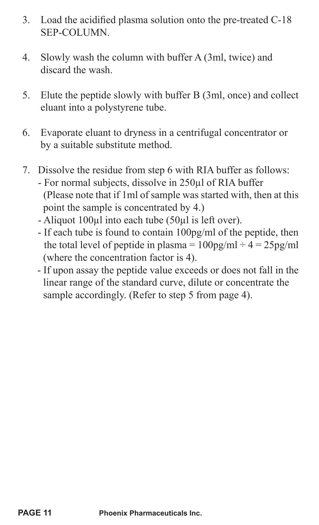- 3. Load the acidified plasma solution onto the pre-treated  $C-18$ SEP-COLUMN.
- 4. Slowly wash the column with buffer A (3ml, twice) and discard the wash.
- 5. Elute the peptide slowly with buffer B (3ml, once) and collect eluant into a polystyrene tube.
- 6. Evaporate eluant to dryness in a centrifugal concentrator or by a suitable substitute method.
- 7. Dissolve the residue from step 6 with RIA buffer as follows: - For normal subjects, dissolve in 250μl of RIA buffer (Please note that if 1ml of sample was started with, then at this point the sample is concentrated by 4.)
	- Aliquot 100μl into each tube (50μl is left over).
	- If each tube is found to contain 100pg/ml of the peptide, then the total level of peptide in plasma =  $100pg/ml \div 4 = 25pg/ml$ (where the concentration factor is 4).
	- If upon assay the peptide value exceeds or does not fall in the linear range of the standard curve, dilute or concentrate the sample accordingly. (Refer to step 5 from page 4).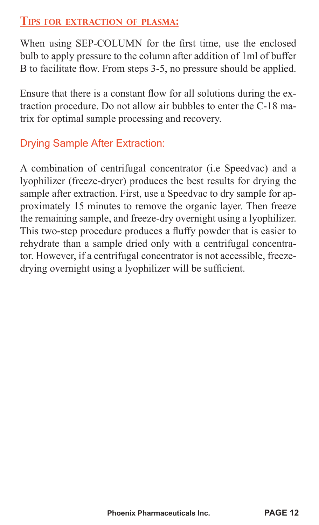#### **TIPS FOR EXTRACTION OF PLASMA:**

When using SEP-COLUMN for the first time, use the enclosed bulb to apply pressure to the column after addition of 1ml of buffer B to facilitate flow. From steps 3-5, no pressure should be applied.

Ensure that there is a constant flow for all solutions during the extraction procedure. Do not allow air bubbles to enter the C-18 matrix for optimal sample processing and recovery.

# Drying Sample After Extraction:

A combination of centrifugal concentrator (i.e Speedvac) and a lyophilizer (freeze-dryer) produces the best results for drying the sample after extraction. First, use a Speedvac to dry sample for approximately 15 minutes to remove the organic layer. Then freeze the remaining sample, and freeze-dry overnight using a lyophilizer. This two-step procedure produces a fluffy powder that is easier to rehydrate than a sample dried only with a centrifugal concentrator. However, if a centrifugal concentrator is not accessible, freezedrying overnight using a lyophilizer will be sufficient.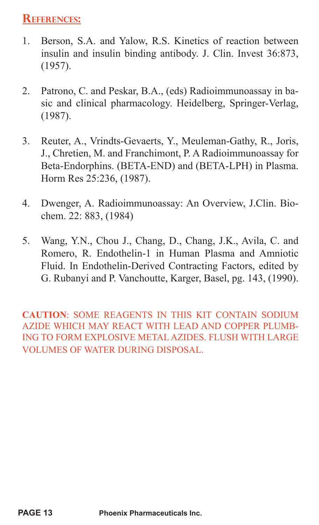### **REFERENCES:**

- 1. Berson, S.A. and Yalow, R.S. Kinetics of reaction between insulin and insulin binding antibody. J. Clin. Invest 36:873, (1957).
- 2. Patrono, C. and Peskar, B.A., (eds) Radioimmunoassay in basic and clinical pharmacology. Heidelberg, Springer-Verlag, (1987).
- 3. Reuter, A., Vrindts-Gevaerts, Y., Meuleman-Gathy, R., Joris, J., Chretien, M. and Franchimont, P. A Radioimmunoassay for Beta-Endorphins. (BETA-END) and (BETA-LPH) in Plasma. Horm Res 25:236, (1987).
- 4. Dwenger, A. Radioimmunoassay: An Overview, J.Clin. Biochem. 22: 883, (1984)
- 5. Wang, Y.N., Chou J., Chang, D., Chang, J.K., Avila, C. and Romero, R. Endothelin-1 in Human Plasma and Amniotic Fluid. In Endothelin-Derived Contracting Factors, edited by G. Rubanyi and P. Vanchoutte, Karger, Basel, pg. 143, (1990).

**CAUTION**: SOME REAGENTS IN THIS KIT CONTAIN SODIUM AZIDE WHICH MAY REACT WITH LEAD AND COPPER PLUMB-ING TO FORM EXPLOSIVE METAL AZIDES. FLUSH WITH LARGE VOLUMES OF WATER DURING DISPOSAL.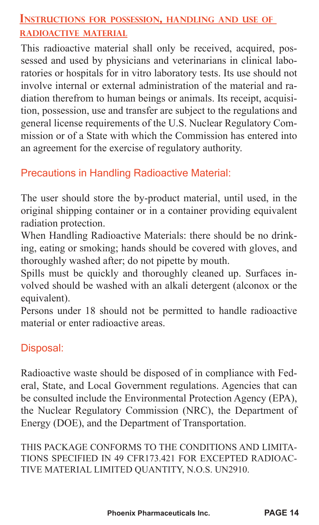### **INSTRUCTIONS FOR POSSESSION, HANDLING AND USE OF RADIOACTIVE MATERIAL**

This radioactive material shall only be received, acquired, possessed and used by physicians and veterinarians in clinical laboratories or hospitals for in vitro laboratory tests. Its use should not involve internal or external administration of the material and radiation therefrom to human beings or animals. Its receipt, acquisition, possession, use and transfer are subject to the regulations and general license requirements of the U.S. Nuclear Regulatory Commission or of a State with which the Commission has entered into an agreement for the exercise of regulatory authority.

# Precautions in Handling Radioactive Material:

The user should store the by-product material, until used, in the original shipping container or in a container providing equivalent radiation protection.

When Handling Radioactive Materials: there should be no drinking, eating or smoking; hands should be covered with gloves, and thoroughly washed after; do not pipette by mouth.

Spills must be quickly and thoroughly cleaned up. Surfaces involved should be washed with an alkali detergent (alconox or the equivalent).

Persons under 18 should not be permitted to handle radioactive material or enter radioactive areas.

### Disposal:

Radioactive waste should be disposed of in compliance with Federal, State, and Local Government regulations. Agencies that can be consulted include the Environmental Protection Agency (EPA), the Nuclear Regulatory Commission (NRC), the Department of Energy (DOE), and the Department of Transportation.

THIS PACKAGE CONFORMS TO THE CONDITIONS AND LIMITA-TIONS SPECIFIED IN 49 CFR173.421 FOR EXCEPTED RADIOAC-TIVE MATERIAL LIMITED QUANTITY, N.O.S. UN2910.